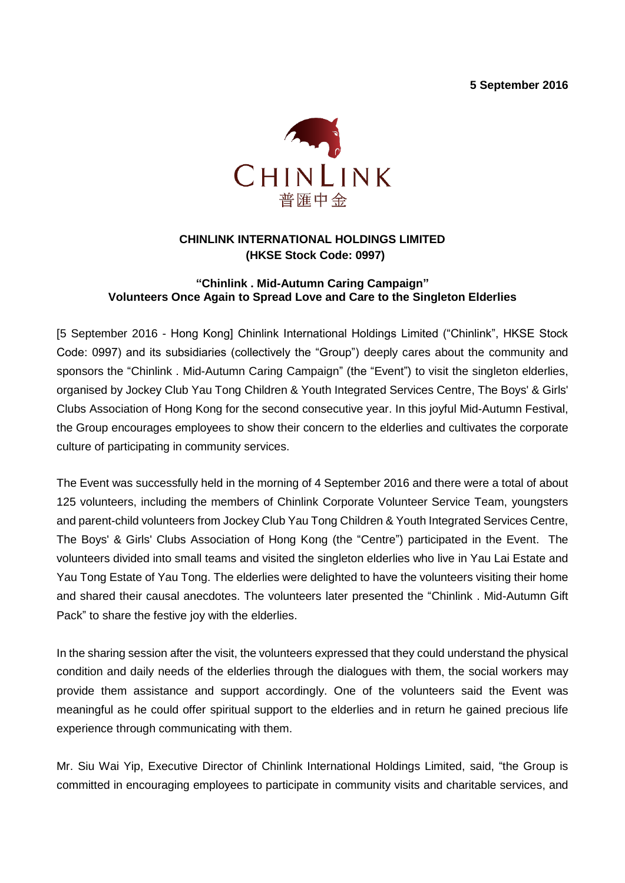**5 September 2016**



# **CHINLINK INTERNATIONAL HOLDINGS LIMITED (HKSE Stock Code: 0997)**

### **"Chinlink . Mid-Autumn Caring Campaign" Volunteers Once Again to Spread Love and Care to the Singleton Elderlies**

[5 September 2016 - Hong Kong] Chinlink International Holdings Limited ("Chinlink", HKSE Stock Code: 0997) and its subsidiaries (collectively the "Group") deeply cares about the community and sponsors the "Chinlink . Mid-Autumn Caring Campaign" (the "Event") to visit the singleton elderlies, organised by Jockey Club Yau Tong Children & Youth Integrated Services Centre, The Boys' & Girls' Clubs Association of Hong Kong for the second consecutive year. In this joyful Mid-Autumn Festival, the Group encourages employees to show their concern to the elderlies and cultivates the corporate culture of participating in community services.

The Event was successfully held in the morning of 4 September 2016 and there were a total of about 125 volunteers, including the members of Chinlink Corporate Volunteer Service Team, youngsters and parent-child volunteers from Jockey Club Yau Tong Children & Youth Integrated Services Centre, The Boys' & Girls' Clubs Association of Hong Kong (the "Centre") participated in the Event. The volunteers divided into small teams and visited the singleton elderlies who live in Yau Lai Estate and Yau Tong Estate of Yau Tong. The elderlies were delighted to have the volunteers visiting their home and shared their causal anecdotes. The volunteers later presented the "Chinlink . Mid-Autumn Gift Pack" to share the festive joy with the elderlies.

In the sharing session after the visit, the volunteers expressed that they could understand the physical condition and daily needs of the elderlies through the dialogues with them, the social workers may provide them assistance and support accordingly. One of the volunteers said the Event was meaningful as he could offer spiritual support to the elderlies and in return he gained precious life experience through communicating with them.

Mr. Siu Wai Yip, Executive Director of Chinlink International Holdings Limited, said, "the Group is committed in encouraging employees to participate in community visits and charitable services, and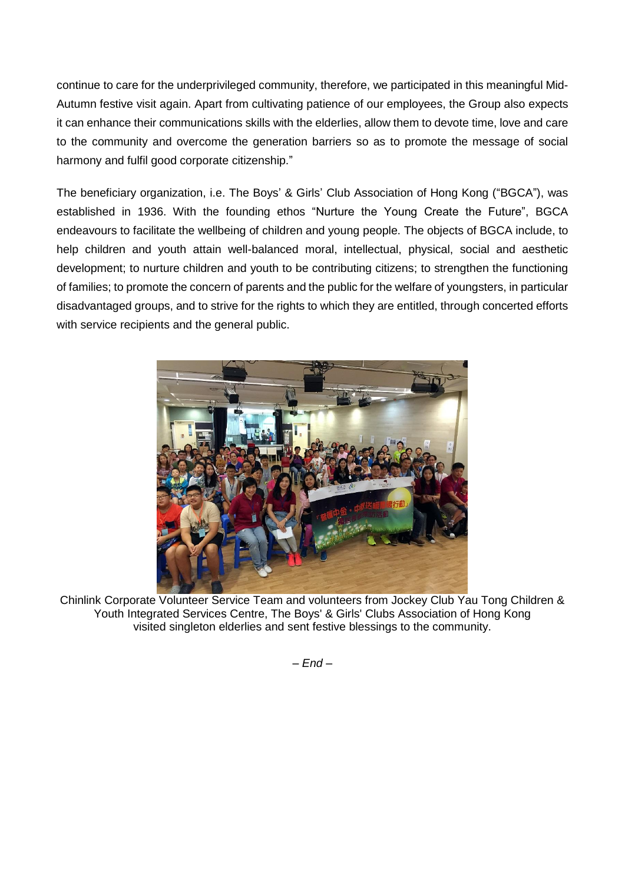continue to care for the underprivileged community, therefore, we participated in this meaningful Mid-Autumn festive visit again. Apart from cultivating patience of our employees, the Group also expects it can enhance their communications skills with the elderlies, allow them to devote time, love and care to the community and overcome the generation barriers so as to promote the message of social harmony and fulfil good corporate citizenship."

The beneficiary organization, i.e. The Boys' & Girls' Club Association of Hong Kong ("BGCA"), was established in 1936. With the founding ethos "Nurture the Young Create the Future", BGCA endeavours to facilitate the wellbeing of children and young people. The objects of BGCA include, to help children and youth attain well-balanced moral, intellectual, physical, social and aesthetic development; to nurture children and youth to be contributing citizens; to strengthen the functioning of families; to promote the concern of parents and the public for the welfare of youngsters, in particular disadvantaged groups, and to strive for the rights to which they are entitled, through concerted efforts with service recipients and the general public.



Chinlink Corporate Volunteer Service Team and volunteers from Jockey Club Yau Tong Children & Youth Integrated Services Centre, The Boys' & Girls' Clubs Association of Hong Kong visited singleton elderlies and sent festive blessings to the community.

*– End –*